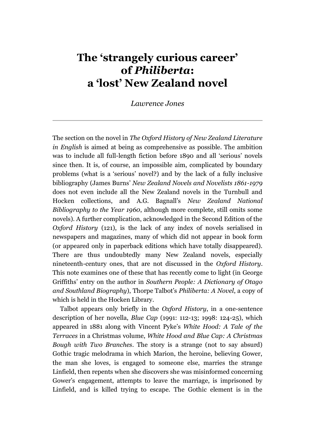## **The 'strangely curious career' of** *Philiberta***: a 'lost' New Zealand novel**

*Lawrence Jones*

The section on the novel in *The Oxford History of New Zealand Literature in English* is aimed at being as comprehensive as possible. The ambition was to include all full-length fiction before 1890 and all 'serious' novels since then. It is, of course, an impossible aim, complicated by boundary problems (what is a 'serious' novel?) and by the lack of a fully inclusive bibliography (James Burns' *New Zealand Novels and Novelists 1861-1979* does not even include all the New Zealand novels in the Turnbull and Hocken collections, and A.G. Bagnall's *New Zealand National Bibliography to the Year 1960*, although more complete, still omits some novels). A further complication, acknowledged in the Second Edition of the *Oxford History* (121), is the lack of any index of novels serialised in newspapers and magazines, many of which did not appear in book form (or appeared only in paperback editions which have totally disappeared). There are thus undoubtedly many New Zealand novels, especially nineteenth-century ones, that are not discussed in the *Oxford History*. This note examines one of these that has recently come to light (in George Griffiths' entry on the author in *Southern People: A Dictionary of Otago and Southland Biography*), Thorpe Talbot's *Philiberta: A Novel*, a copy of which is held in the Hocken Library.

Talbot appears only briefly in the *Oxford History*, in a one-sentence description of her novella, *Blue Cap* (1991: 112-13; 1998: 124-25), which appeared in 1881 along with Vincent Pyke's *White Hood: A Tale of the Terraces* in a Christmas volume, *White Hood and Blue Cap: A Christmas Bough with Two Branches*. The story is a strange (not to say absurd) Gothic tragic melodrama in which Marion, the heroine, believing Gower, the man she loves, is engaged to someone else, marries the strange Linfield, then repents when she discovers she was misinformed concerning Gower's engagement, attempts to leave the marriage, is imprisoned by Linfield, and is killed trying to escape. The Gothic element is in the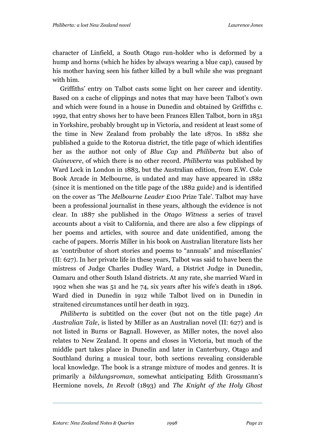character of Linfield, a South Otago run-holder who is deformed by a hump and horns (which he hides by always wearing a blue cap), caused by his mother having seen his father killed by a bull while she was pregnant with him.

Griffiths' entry on Talbot casts some light on her career and identity. Based on a cache of clippings and notes that may have been Talbot's own and which were found in a house in Dunedin and obtained by Griffiths c. 1992, that entry shows her to have been Frances Ellen Talbot, born in 1851 in Yorkshire, probably brought up in Victoria, and resident at least some of the time in New Zealand from probably the late 1870s. In 1882 she published a guide to the Rotorua district, the title page of which identifies her as the author not only of *Blue Cap* and *Philiberta* but also of *Guinevere*, of which there is no other record. *Philiberta* was published by Ward Lock in London in 1883, but the Australian edition, from E.W. Cole Book Arcade in Melbourne, is undated and may have appeared in 1882 (since it is mentioned on the title page of the 1882 guide) and is identified on the cover as ‗The *Melbourne Leader* £100 Prize Tale'. Talbot may have been a professional journalist in these years, although the evidence is not clear. In 1887 she published in the *Otago Witness* a series of travel accounts about a visit to California, and there are also a few clippings of her poems and articles, with source and date unidentified, among the cache of papers. Morris Miller in his book on Australian literature lists her as 'contributor of short stories and poems to "annuals" and miscellanies' (II: 627). In her private life in these years, Talbot was said to have been the mistress of Judge Charles Dudley Ward, a District Judge in Dunedin, Oamaru and other South Island districts. At any rate, she married Ward in 1902 when she was 51 and he 74, six years after his wife's death in 1896. Ward died in Dunedin in 1912 while Talbot lived on in Dunedin in straitened circumstances until her death in 1923.

*Philiberta* is subtitled on the cover (but not on the title page) *An Australian Tale*, is listed by Miller as an Australian novel (II: 627) and is not listed in Burns or Bagnall. However, as Miller notes, the novel also relates to New Zealand. It opens and closes in Victoria, but much of the middle part takes place in Dunedin and later in Canterbury, Otago and Southland during a musical tour, both sections revealing considerable local knowledge. The book is a strange mixture of modes and genres. It is primarily a *bildungsroman*, somewhat anticipating Edith Grossmann's Hermione novels, *In Revolt* (1893) and *The Knight of the Holy Ghost*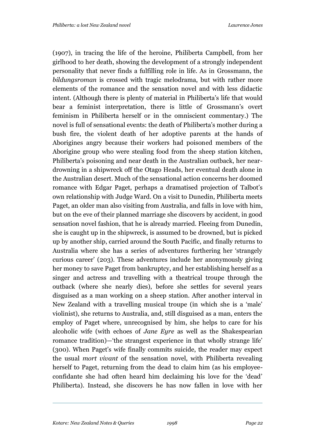(1907), in tracing the life of the heroine, Philiberta Campbell, from her girlhood to her death, showing the development of a strongly independent personality that never finds a fulfilling role in life. As in Grossmann, the *bildungsroman* is crossed with tragic melodrama, but with rather more elements of the romance and the sensation novel and with less didactic intent. (Although there is plenty of material in Philiberta's life that would bear a feminist interpretation, there is little of Grossmann's overt feminism in Philiberta herself or in the omniscient commentary.) The novel is full of sensational events: the death of Philiberta's mother during a bush fire, the violent death of her adoptive parents at the hands of Aborigines angry because their workers had poisoned members of the Aborigine group who were stealing food from the sheep station kitchen, Philiberta's poisoning and near death in the Australian outback, her neardrowning in a shipwreck off the Otago Heads, her eventual death alone in the Australian desert. Much of the sensational action concerns her doomed romance with Edgar Paget, perhaps a dramatised projection of Talbot's own relationship with Judge Ward. On a visit to Dunedin, Philiberta meets Paget, an older man also visiting from Australia, and falls in love with him, but on the eve of their planned marriage she discovers by accident, in good sensation novel fashion, that he is already married. Fleeing from Dunedin, she is caught up in the shipwreck, is assumed to be drowned, but is picked up by another ship, carried around the South Pacific, and finally returns to Australia where she has a series of adventures furthering her 'strangely curious career' (203). These adventures include her anonymously giving her money to save Paget from bankruptcy, and her establishing herself as a singer and actress and travelling with a theatrical troupe through the outback (where she nearly dies), before she settles for several years disguised as a man working on a sheep station. After another interval in New Zealand with a travelling musical troupe (in which she is a 'male' violinist), she returns to Australia, and, still disguised as a man, enters the employ of Paget where, unrecognised by him, she helps to care for his alcoholic wife (with echoes of *Jane Eyre* as well as the Shakespearian romance tradition)— the strangest experience in that wholly strange life' (300). When Paget's wife finally commits suicide, the reader may expect the usual *mort vivant* of the sensation novel, with Philiberta revealing herself to Paget, returning from the dead to claim him (as his employeeconfidante she had often heard him declaiming his love for the 'dead' Philiberta). Instead, she discovers he has now fallen in love with her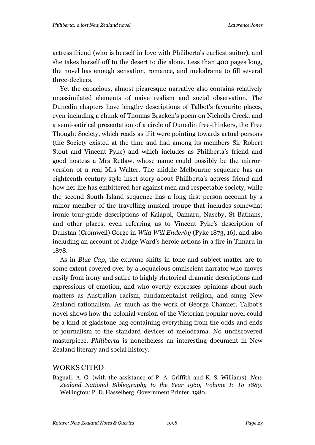actress friend (who is herself in love with Philiberta's earliest suitor), and she takes herself off to the desert to die alone. Less than 400 pages long, the novel has enough sensation, romance, and melodrama to fill several three-deckers.

Yet the capacious, almost picaresque narrative also contains relatively unassimilated elements of naive realism and social observation. The Dunedin chapters have lengthy descriptions of Talbot's favourite places, even including a chunk of Thomas Bracken's poem on Nicholls Creek, and a semi-satirical presentation of a circle of Dunedin free-thinkers, the Free Thought Society, which reads as if it were pointing towards actual persons (the Society existed at the time and had among its members Sir Robert Stout and Vincent Pyke) and which includes as Philiberta's friend and good hostess a Mrs Retlaw, whose name could possibly be the mirrorversion of a real Mrs Walter. The middle Melbourne sequence has an eighteenth-century-style inset story about Philiberta's actress friend and how her life has embittered her against men and respectable society, while the second South Island sequence has a long first-person account by a minor member of the travelling musical troupe that includes somewhat ironic tour-guide descriptions of Kaiapoi, Oamaru, Naseby, St Bathans, and other places, even referring us to Vincent Pyke's description of Dunstan (Cromwell) Gorge in *Wild Will Enderby* (Pyke 1873, 16), and also including an account of Judge Ward's heroic actions in a fire in Timaru in 1878.

As in *Blue Cap*, the extreme shifts in tone and subject matter are to some extent covered over by a loquacious omniscient narrator who moves easily from irony and satire to highly rhetorical dramatic descriptions and expressions of emotion, and who overtly expresses opinions about such matters as Australian racism, fundamentalist religion, and smug New Zealand rationalism. As much as the work of George Chamier, Talbot's novel shows how the colonial version of the Victorian popular novel could be a kind of gladstone bag containing everything from the odds and ends of journalism to the standard devices of melodrama. No undiscovered masterpiece, *Philiberta* is nonetheless an interesting document in New Zealand literary and social history.

## WORKS CITED

Bagnall, A. G. (with the assistance of P. A. Griffith and K. S. Williams). *New Zealand National Bibliography to the Year 1960, Volume I: To 1889*. Wellington: P. D. Hasselberg, Government Printer, 1980.